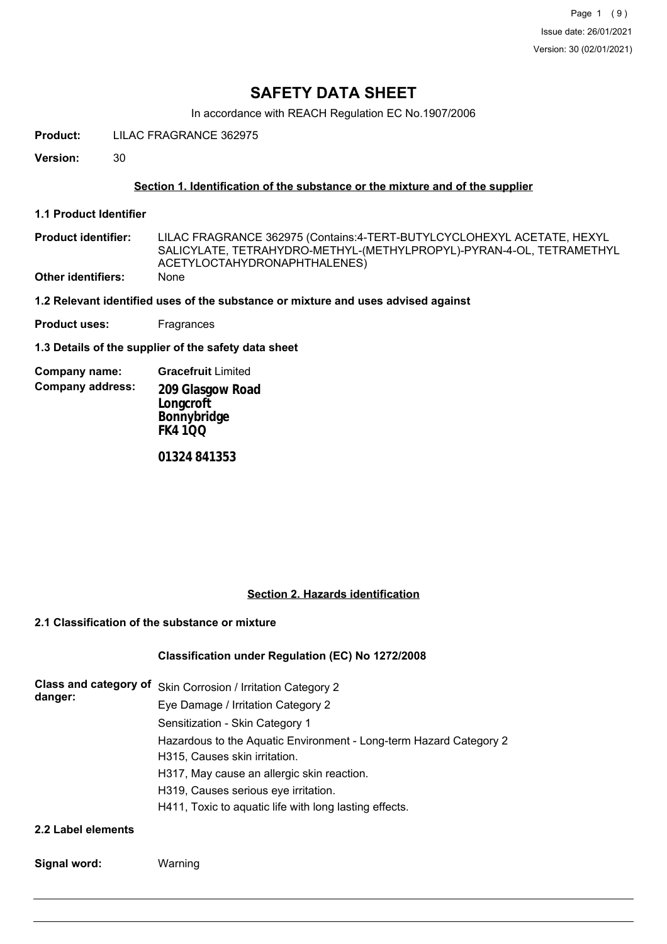# **SAFETY DATA SHEET**

In accordance with REACH Regulation EC No.1907/2006

**Product:** LILAC FRAGRANCE 362975

**Version:** 30

# **Section 1. Identification of the substance or the mixture and of the supplier**

**1.1 Product Identifier**

LILAC FRAGRANCE 362975 (Contains:4-TERT-BUTYLCYCLOHEXYL ACETATE, HEXYL SALICYLATE, TETRAHYDRO-METHYL-(METHYLPROPYL)-PYRAN-4-OL, TETRAMETHYL ACETYLOCTAHYDRONAPHTHALENES) **Product identifier: Other identifiers:** None

**1.2 Relevant identified uses of the substance or mixture and uses advised against**

**Product uses:** Fragrances

**1.3 Details of the supplier of the safety data sheet**

**Company address: Company name: Gracefruit** Limited **209 Glasgow Road Longcroft Bonnybridge FK4 1QQ**

**01324 841353**

# **Section 2. Hazards identification**

# **2.1 Classification of the substance or mixture**

# **Classification under Regulation (EC) No 1272/2008**

| danger:              | Class and category of Skin Corrosion / Irritation Category 2                                        |
|----------------------|-----------------------------------------------------------------------------------------------------|
|                      | Eye Damage / Irritation Category 2                                                                  |
|                      | Sensitization - Skin Category 1                                                                     |
|                      | Hazardous to the Aquatic Environment - Long-term Hazard Category 2<br>H315, Causes skin irritation. |
|                      | H317, May cause an allergic skin reaction.                                                          |
|                      | H319, Causes serious eye irritation.                                                                |
|                      | H411, Toxic to aquatic life with long lasting effects.                                              |
| 00 Lebel - Leonard - |                                                                                                     |

**2.2 Label elements**

**Signal word:** Warning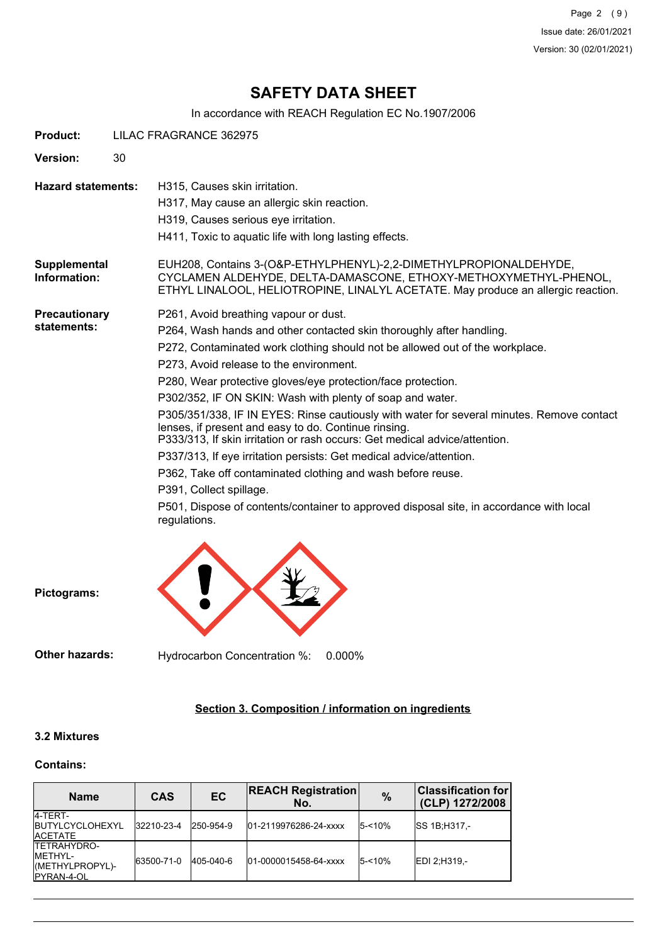Page 2 (9) Issue date: 26/01/2021 Version: 30 (02/01/2021)

# **SAFETY DATA SHEET**

In accordance with REACH Regulation EC No.1907/2006

| <b>Product:</b>              | LILAC FRAGRANCE 362975                                                                                                                                                                                                                                                                                                                                                                                                                                                                                                                                                                                                                                                                                                                                                                                                                                                               |  |
|------------------------------|--------------------------------------------------------------------------------------------------------------------------------------------------------------------------------------------------------------------------------------------------------------------------------------------------------------------------------------------------------------------------------------------------------------------------------------------------------------------------------------------------------------------------------------------------------------------------------------------------------------------------------------------------------------------------------------------------------------------------------------------------------------------------------------------------------------------------------------------------------------------------------------|--|
| Version:                     | 30                                                                                                                                                                                                                                                                                                                                                                                                                                                                                                                                                                                                                                                                                                                                                                                                                                                                                   |  |
| <b>Hazard statements:</b>    | H315, Causes skin irritation.<br>H317, May cause an allergic skin reaction.<br>H319, Causes serious eye irritation.<br>H411, Toxic to aquatic life with long lasting effects.                                                                                                                                                                                                                                                                                                                                                                                                                                                                                                                                                                                                                                                                                                        |  |
| Supplemental<br>Information: | EUH208, Contains 3-(O&P-ETHYLPHENYL)-2,2-DIMETHYLPROPIONALDEHYDE,<br>CYCLAMEN ALDEHYDE, DELTA-DAMASCONE, ETHOXY-METHOXYMETHYL-PHENOL,<br>ETHYL LINALOOL, HELIOTROPINE, LINALYL ACETATE. May produce an allergic reaction.                                                                                                                                                                                                                                                                                                                                                                                                                                                                                                                                                                                                                                                            |  |
| Precautionary<br>statements: | P261, Avoid breathing vapour or dust.<br>P264, Wash hands and other contacted skin thoroughly after handling.<br>P272, Contaminated work clothing should not be allowed out of the workplace.<br>P273, Avoid release to the environment.<br>P280, Wear protective gloves/eye protection/face protection.<br>P302/352, IF ON SKIN: Wash with plenty of soap and water.<br>P305/351/338, IF IN EYES: Rinse cautiously with water for several minutes. Remove contact<br>lenses, if present and easy to do. Continue rinsing.<br>P333/313, If skin irritation or rash occurs: Get medical advice/attention.<br>P337/313, If eye irritation persists: Get medical advice/attention.<br>P362, Take off contaminated clothing and wash before reuse.<br>P391, Collect spillage.<br>P501, Dispose of contents/container to approved disposal site, in accordance with local<br>regulations. |  |



**Pictograms:**

**Other hazards:** Hydrocarbon Concentration %: 0.000%

# **Section 3. Composition / information on ingredients**

# **3.2 Mixtures**

#### **Contains:**

| <b>Name</b>                                                                     | <b>CAS</b> | EC        | <b>REACH Registration</b><br>No. | $\frac{9}{6}$ | <b>Classification for</b><br>(CLP) 1272/2008 |
|---------------------------------------------------------------------------------|------------|-----------|----------------------------------|---------------|----------------------------------------------|
| 4-TERT-<br><b>IBUTYLCYCLOHEXYL</b><br><b>IACETATE</b>                           | 32210-23-4 | 250-954-9 | 01-2119976286-24-xxxx            | $5 - 10%$     | <b>ISS 1B:H317 -</b>                         |
| <b>ITETRAHYDRO-</b><br><b>IMETHYL-</b><br>(METHYLPROPYL)-<br><b>IPYRAN-4-OL</b> | 63500-71-0 | 405-040-6 | 01-0000015458-64-xxxx            | $5 - 10%$     | EDI 2:H319 .-                                |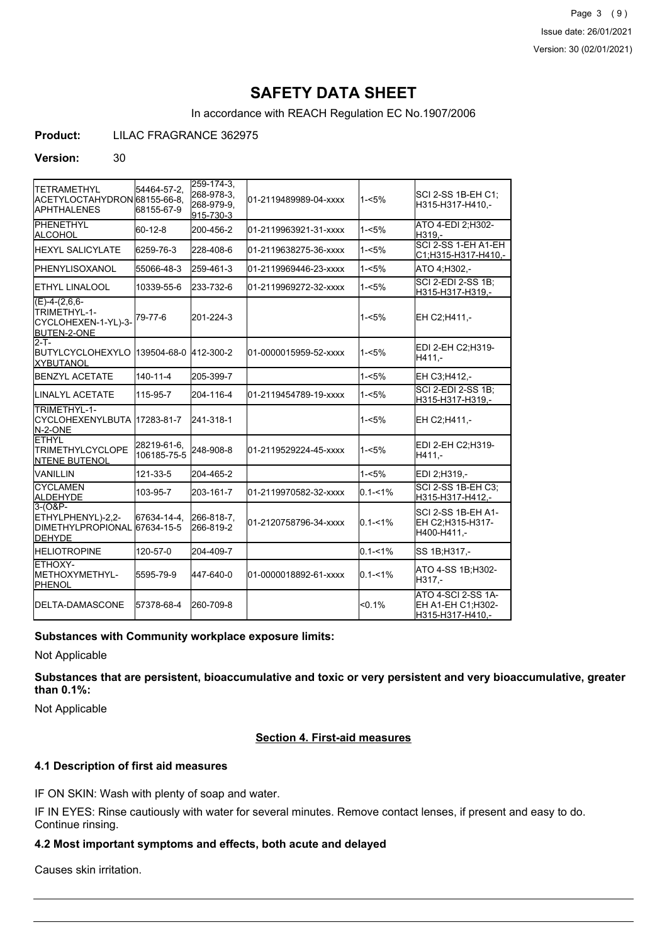Page 3 (9) Issue date: 26/01/2021 Version: 30 (02/01/2021)

# **SAFETY DATA SHEET**

In accordance with REACH Regulation EC No.1907/2006

**Product:** LILAC FRAGRANCE 362975

#### **Version:** 30

| <b>ITETRAMETHYL</b><br>ACETYLOCTAHYDRON 68155-66-8,<br><b>APHTHALENES</b>    | 54464-57-2.<br>68155-67-9  | $259 - 174 - 3$<br>268-978-3,<br>268-979-9.<br>915-730-3 | 01-2119489989-04-xxxx | 1-<5%       | SCI 2-SS 1B-EH C1;<br>H315-H317-H410,-                      |
|------------------------------------------------------------------------------|----------------------------|----------------------------------------------------------|-----------------------|-------------|-------------------------------------------------------------|
| PHENETHYL<br>ALCOHOL                                                         | 60-12-8                    | 200-456-2                                                | 01-2119963921-31-xxxx | $1 - 5%$    | ATO 4-EDI 2:H302-<br>H319.-                                 |
| <b>I</b> HEXYL SALICYLATE                                                    | 6259-76-3                  | 228-408-6                                                | 01-2119638275-36-xxxx | $1 - 5%$    | SCI 2-SS 1-EH A1-EH<br>C1;H315-H317-H410,-                  |
| IPHENYLISOXANOL                                                              | 55066-48-3                 | 259-461-3                                                | 01-2119969446-23-xxxx | $1 - 5%$    | ATO 4:H302.-                                                |
| <b>I</b> ETHYL LINALOOL                                                      | 10339-55-6                 | 233-732-6                                                | 01-2119969272-32-xxxx | $1 - 5%$    | <b>SCI 2-EDI 2-SS 1B:</b><br>H315-H317-H319,-               |
| $(E)-4-(2,6,6-$<br>TRIMETHYL-1-<br>CYCLOHEXEN-1-YL)-3-<br><b>BUTEN-2-ONE</b> | 79-77-6                    | 201-224-3                                                |                       | 1-<5%       | EH C2:H411.-                                                |
| $2-T -$<br><b>IBUTYLCYCLOHEXYLO</b><br><b>XYBUTANOL</b>                      | 139504-68-0                | 412-300-2                                                | 01-0000015959-52-xxxx | 1-<5%       | EDI 2-EH C2:H319-<br>H411.-                                 |
| <b>BENZYL ACETATE</b>                                                        | $140 - 11 - 4$             | 205-399-7                                                |                       | $1 - 5%$    | EH C3;H412,-                                                |
| <b>ILINALYL ACETATE</b>                                                      | 115-95-7                   | 204-116-4                                                | 01-2119454789-19-xxxx | $1 - 5%$    | <b>SCI 2-EDI 2-SS 1B:</b><br>H315-H317-H319,-               |
| <b>ITRIMETHYL-1-</b><br>CYCLOHEXENYLBUTA 17283-81-7<br>N-2-ONE               |                            | 241-318-1                                                |                       | $1 - 5%$    | EH C2:H411.-                                                |
| IETHYL<br><b>TRIMETHYLCYCLOPE</b><br><b>INTENE BUTENOL</b>                   | 28219-61-6,<br>106185-75-5 | 248-908-8                                                | 01-2119529224-45-xxxx | $1 - 5%$    | EDI 2-EH C2:H319-<br>H411.-                                 |
| IVANILLIN                                                                    | 121-33-5                   | 204-465-2                                                |                       | $1 - 5%$    | EDI 2;H319,-                                                |
| <b>CYCLAMEN</b><br><b>ALDEHYDE</b>                                           | 103-95-7                   | 203-161-7                                                | 01-2119970582-32-xxxx | $0.1 - 1\%$ | <b>SCI 2-SS 1B-EH C3:</b><br>H315-H317-H412,-               |
| 3-(O&P-<br>ETHYLPHENYL)-2,2-<br>IDIMETHYLPROPIONAL 167634-15-5<br>DEHYDE     | 67634-14-4.                | 266-818-7.<br>266-819-2                                  | 01-2120758796-34-xxxx | $0.1 - 1\%$ | SCI 2-SS 1B-EH A1-<br>EH C2:H315-H317-<br>H400-H411,-       |
| <b>HELIOTROPINE</b>                                                          | 120-57-0                   | 204-409-7                                                |                       | $0.1 - 1%$  | SS 1B; H317,-                                               |
| ETHOXY-<br><b>IMETHOXYMETHYL-</b><br>PHENOL                                  | 5595-79-9                  | 447-640-0                                                | 01-0000018892-61-xxxx | $0.1 - 1\%$ | ATO 4-SS 1B;H302-<br>H317.-                                 |
| <b>DELTA-DAMASCONE</b>                                                       | 57378-68-4                 | 260-709-8                                                |                       | < 0.1%      | ATO 4-SCI 2-SS 1A-<br>EH A1-EH C1;H302-<br>H315-H317-H410,- |

# **Substances with Community workplace exposure limits:**

Not Applicable

**Substances that are persistent, bioaccumulative and toxic or very persistent and very bioaccumulative, greater than 0.1%:**

Not Applicable

# **Section 4. First-aid measures**

# **4.1 Description of first aid measures**

IF ON SKIN: Wash with plenty of soap and water.

IF IN EYES: Rinse cautiously with water for several minutes. Remove contact lenses, if present and easy to do. Continue rinsing.

# **4.2 Most important symptoms and effects, both acute and delayed**

Causes skin irritation.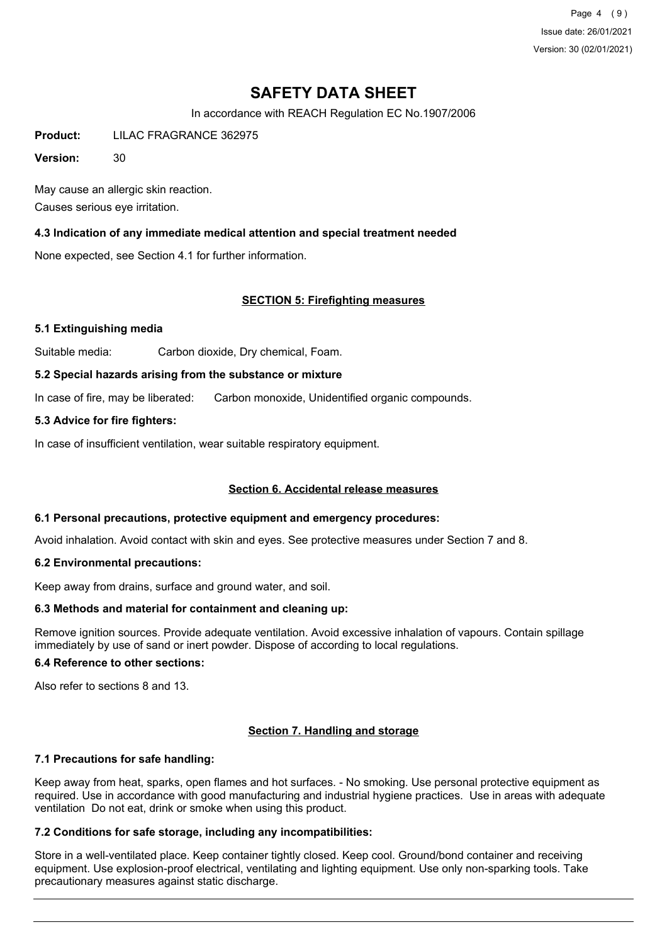Page 4 (9) Issue date: 26/01/2021 Version: 30 (02/01/2021)

# **SAFETY DATA SHEET**

In accordance with REACH Regulation EC No.1907/2006

**Product:** LILAC FRAGRANCE 362975

**Version:** 30

May cause an allergic skin reaction. Causes serious eye irritation.

# **4.3 Indication of any immediate medical attention and special treatment needed**

None expected, see Section 4.1 for further information.

# **SECTION 5: Firefighting measures**

# **5.1 Extinguishing media**

Suitable media: Carbon dioxide, Dry chemical, Foam.

#### **5.2 Special hazards arising from the substance or mixture**

In case of fire, may be liberated: Carbon monoxide, Unidentified organic compounds.

# **5.3 Advice for fire fighters:**

In case of insufficient ventilation, wear suitable respiratory equipment.

# **Section 6. Accidental release measures**

# **6.1 Personal precautions, protective equipment and emergency procedures:**

Avoid inhalation. Avoid contact with skin and eyes. See protective measures under Section 7 and 8.

#### **6.2 Environmental precautions:**

Keep away from drains, surface and ground water, and soil.

# **6.3 Methods and material for containment and cleaning up:**

Remove ignition sources. Provide adequate ventilation. Avoid excessive inhalation of vapours. Contain spillage immediately by use of sand or inert powder. Dispose of according to local regulations.

#### **6.4 Reference to other sections:**

Also refer to sections 8 and 13.

# **Section 7. Handling and storage**

# **7.1 Precautions for safe handling:**

Keep away from heat, sparks, open flames and hot surfaces. - No smoking. Use personal protective equipment as required. Use in accordance with good manufacturing and industrial hygiene practices. Use in areas with adequate ventilation Do not eat, drink or smoke when using this product.

# **7.2 Conditions for safe storage, including any incompatibilities:**

Store in a well-ventilated place. Keep container tightly closed. Keep cool. Ground/bond container and receiving equipment. Use explosion-proof electrical, ventilating and lighting equipment. Use only non-sparking tools. Take precautionary measures against static discharge.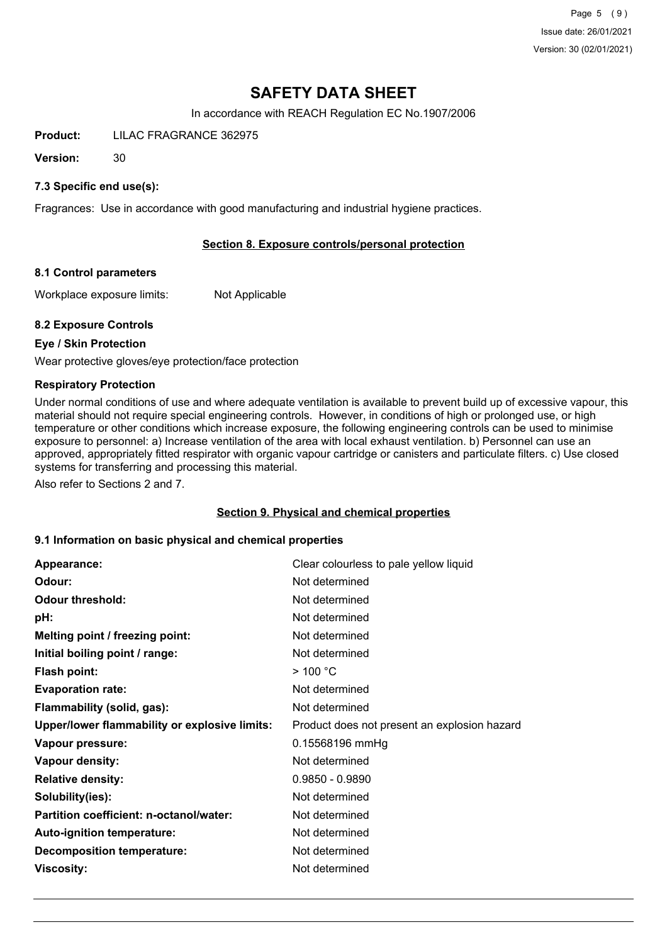Page 5 (9) Issue date: 26/01/2021 Version: 30 (02/01/2021)

# **SAFETY DATA SHEET**

In accordance with REACH Regulation EC No.1907/2006

**Product:** LILAC FRAGRANCE 362975

**Version:** 30

# **7.3 Specific end use(s):**

Fragrances: Use in accordance with good manufacturing and industrial hygiene practices.

# **Section 8. Exposure controls/personal protection**

# **8.1 Control parameters**

Workplace exposure limits: Not Applicable

# **8.2 Exposure Controls**

# **Eye / Skin Protection**

Wear protective gloves/eye protection/face protection

#### **Respiratory Protection**

Under normal conditions of use and where adequate ventilation is available to prevent build up of excessive vapour, this material should not require special engineering controls. However, in conditions of high or prolonged use, or high temperature or other conditions which increase exposure, the following engineering controls can be used to minimise exposure to personnel: a) Increase ventilation of the area with local exhaust ventilation. b) Personnel can use an approved, appropriately fitted respirator with organic vapour cartridge or canisters and particulate filters. c) Use closed systems for transferring and processing this material.

Also refer to Sections 2 and 7.

#### **Section 9. Physical and chemical properties**

# **9.1 Information on basic physical and chemical properties**

| Appearance:                                   | Clear colourless to pale yellow liquid       |
|-----------------------------------------------|----------------------------------------------|
| Odour:                                        | Not determined                               |
| <b>Odour threshold:</b>                       | Not determined                               |
| pH:                                           | Not determined                               |
| Melting point / freezing point:               | Not determined                               |
| Initial boiling point / range:                | Not determined                               |
| <b>Flash point:</b>                           | $>$ 100 °C                                   |
| <b>Evaporation rate:</b>                      | Not determined                               |
| Flammability (solid, gas):                    | Not determined                               |
| Upper/lower flammability or explosive limits: | Product does not present an explosion hazard |
| Vapour pressure:                              | 0.15568196 mmHg                              |
| Vapour density:                               | Not determined                               |
| <b>Relative density:</b>                      | $0.9850 - 0.9890$                            |
| Solubility(ies):                              | Not determined                               |
| Partition coefficient: n-octanol/water:       | Not determined                               |
| Auto-ignition temperature:                    | Not determined                               |
| <b>Decomposition temperature:</b>             | Not determined                               |
| <b>Viscosity:</b>                             | Not determined                               |
|                                               |                                              |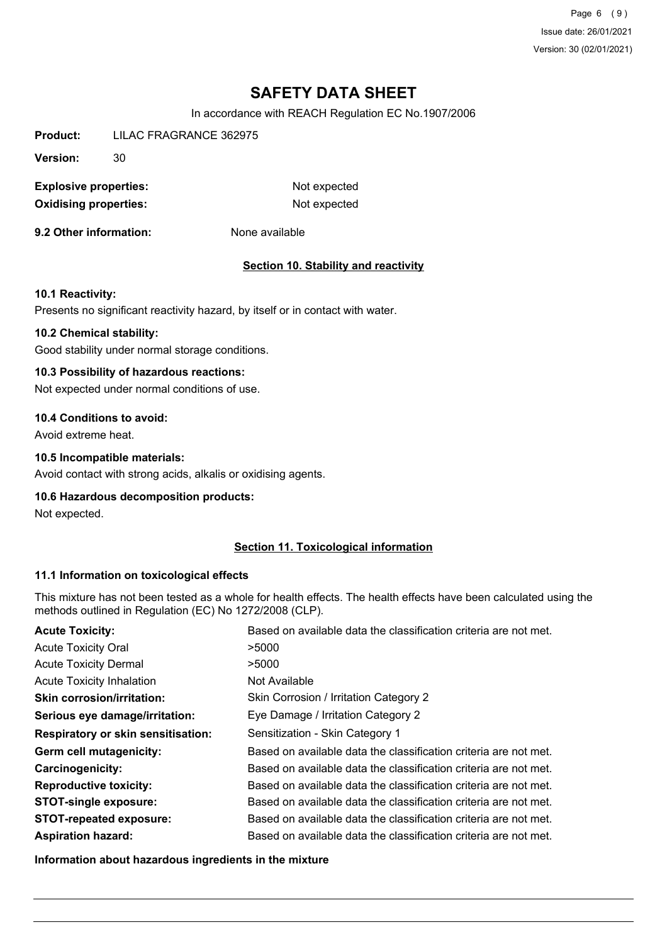Page 6 (9) Issue date: 26/01/2021 Version: 30 (02/01/2021)

# **SAFETY DATA SHEET**

In accordance with REACH Regulation EC No.1907/2006

**Product:** LILAC FRAGRANCE 362975

**Version:** 30

**Explosive properties:** Not expected **Oxidising properties:** Not expected

**9.2 Other information:** None available

# **Section 10. Stability and reactivity**

#### **10.1 Reactivity:**

Presents no significant reactivity hazard, by itself or in contact with water.

### **10.2 Chemical stability:**

Good stability under normal storage conditions.

### **10.3 Possibility of hazardous reactions:**

Not expected under normal conditions of use.

#### **10.4 Conditions to avoid:**

Avoid extreme heat.

#### **10.5 Incompatible materials:**

Avoid contact with strong acids, alkalis or oxidising agents.

# **10.6 Hazardous decomposition products:**

Not expected.

# **Section 11. Toxicological information**

# **11.1 Information on toxicological effects**

This mixture has not been tested as a whole for health effects. The health effects have been calculated using the methods outlined in Regulation (EC) No 1272/2008 (CLP).

| <b>Acute Toxicity:</b>             | Based on available data the classification criteria are not met. |
|------------------------------------|------------------------------------------------------------------|
| <b>Acute Toxicity Oral</b>         | >5000                                                            |
| <b>Acute Toxicity Dermal</b>       | >5000                                                            |
| <b>Acute Toxicity Inhalation</b>   | Not Available                                                    |
| <b>Skin corrosion/irritation:</b>  | Skin Corrosion / Irritation Category 2                           |
| Serious eye damage/irritation:     | Eye Damage / Irritation Category 2                               |
| Respiratory or skin sensitisation: | Sensitization - Skin Category 1                                  |
| Germ cell mutagenicity:            | Based on available data the classification criteria are not met. |
| <b>Carcinogenicity:</b>            | Based on available data the classification criteria are not met. |
| <b>Reproductive toxicity:</b>      | Based on available data the classification criteria are not met. |
| <b>STOT-single exposure:</b>       | Based on available data the classification criteria are not met. |
| <b>STOT-repeated exposure:</b>     | Based on available data the classification criteria are not met. |
| <b>Aspiration hazard:</b>          | Based on available data the classification criteria are not met. |

**Information about hazardous ingredients in the mixture**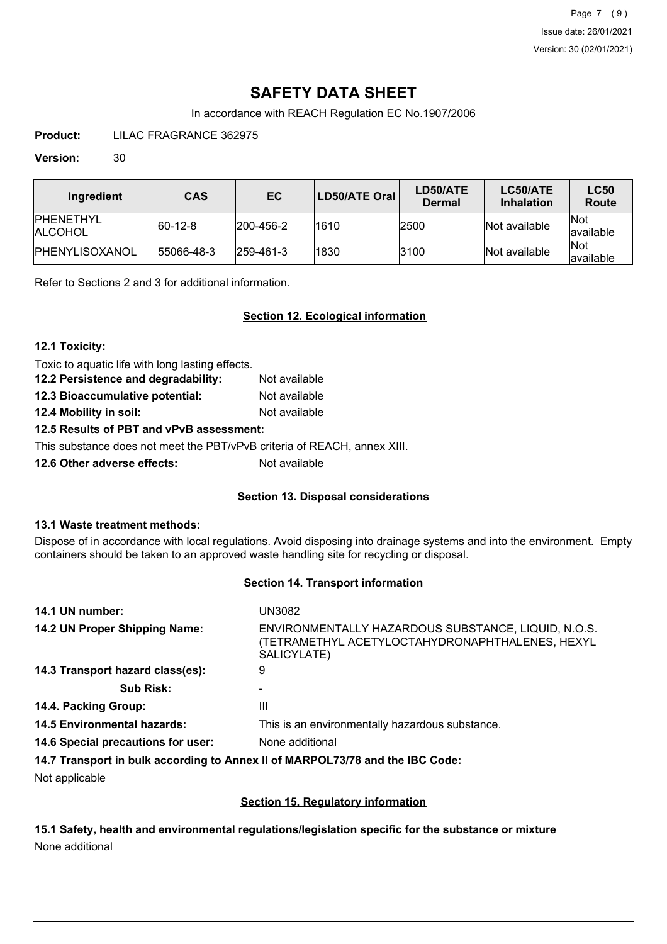Page 7 (9) Issue date: 26/01/2021 Version: 30 (02/01/2021)

# **SAFETY DATA SHEET**

In accordance with REACH Regulation EC No.1907/2006

**Product:** LILAC FRAGRANCE 362975

# **Version:** 30

| Ingredient                    | <b>CAS</b>  | EC.               | LD50/ATE Oral | LD50/ATE<br><b>Dermal</b> | LC50/ATE<br><b>Inhalation</b> | <b>LC50</b><br>Route      |
|-------------------------------|-------------|-------------------|---------------|---------------------------|-------------------------------|---------------------------|
| <b>IPHENETHYL</b><br>IALCOHOL | $ 60-12-8 $ | $ 200 - 456 - 2 $ | 1610          | 2500                      | Not available                 | <b>INot</b><br>lavailable |
| IPHENYLISOXANOL               | 55066-48-3  | $ 259 - 461 - 3 $ | 1830          | 3100                      | Not available                 | <b>Not</b><br>lavailable  |

Refer to Sections 2 and 3 for additional information.

# **Section 12. Ecological information**

# **12.1 Toxicity:**

Toxic to aquatic life with long lasting effects.

| 12.2 Persistence and degradability: | Not available |
|-------------------------------------|---------------|
| 12.3 Bioaccumulative potential:     | Not available |
| 12.4 Mobility in soil:              | Not available |

# **12.5 Results of PBT and vPvB assessment:**

This substance does not meet the PBT/vPvB criteria of REACH, annex XIII.

**12.6 Other adverse effects:** Not available

# **Section 13. Disposal considerations**

# **13.1 Waste treatment methods:**

Dispose of in accordance with local regulations. Avoid disposing into drainage systems and into the environment. Empty containers should be taken to an approved waste handling site for recycling or disposal.

# **Section 14. Transport information**

| 14.1 UN number:                    | UN3082                                                                                                                |
|------------------------------------|-----------------------------------------------------------------------------------------------------------------------|
| 14.2 UN Proper Shipping Name:      | ENVIRONMENTALLY HAZARDOUS SUBSTANCE, LIQUID, N.O.S.<br>(TETRAMETHYL ACETYLOCTAHYDRONAPHTHALENES, HEXYL<br>SALICYLATE) |
| 14.3 Transport hazard class(es):   | 9                                                                                                                     |
| <b>Sub Risk:</b>                   |                                                                                                                       |
| 14.4. Packing Group:               | Ш                                                                                                                     |
| <b>14.5 Environmental hazards:</b> | This is an environmentally hazardous substance.                                                                       |
| 14.6 Special precautions for user: | None additional                                                                                                       |
|                                    | 14.7 Transport in bulk according to Annex II of MARPOL73/78 and the IBC Code:                                         |

Not applicable

# **Section 15. Regulatory information**

**15.1 Safety, health and environmental regulations/legislation specific for the substance or mixture** None additional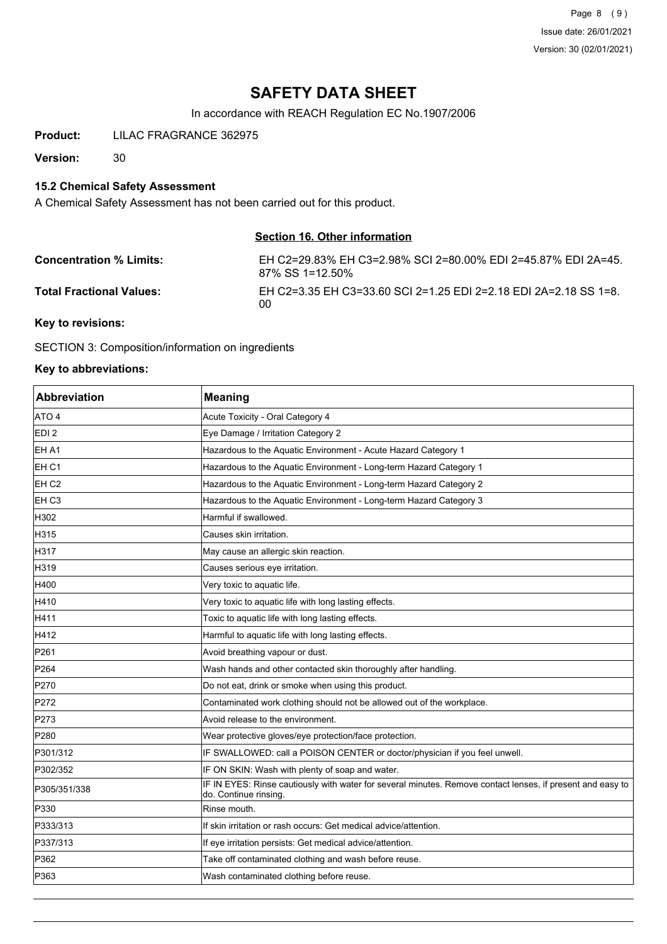Page 8 (9) Issue date: 26/01/2021 Version: 30 (02/01/2021)

# **SAFETY DATA SHEET**

In accordance with REACH Regulation EC No.1907/2006

**Product:** LILAC FRAGRANCE 362975

**Version:** 30

# **15.2 Chemical Safety Assessment**

A Chemical Safety Assessment has not been carried out for this product.

# **Section 16. Other information**

| <b>Concentration % Limits:</b>             | EH C2=29.83% EH C3=2.98% SCI 2=80.00% EDI 2=45.87% EDI 2A=45.<br>87% SS 1=12.50% |
|--------------------------------------------|----------------------------------------------------------------------------------|
| <b>Total Fractional Values:</b>            | EH C2=3.35 EH C3=33.60 SCI 2=1.25 EDI 2=2.18 EDI 2A=2.18 SS 1=8.<br>00           |
| $\mathbf{r}$ , $\mathbf{r}$ , $\mathbf{r}$ |                                                                                  |

#### **Key to revisions:**

SECTION 3: Composition/information on ingredients

# **Key to abbreviations:**

| <b>Abbreviation</b> | <b>Meaning</b>                                                                                                                      |
|---------------------|-------------------------------------------------------------------------------------------------------------------------------------|
| ATO 4               | Acute Toxicity - Oral Category 4                                                                                                    |
| EDI <sub>2</sub>    | Eye Damage / Irritation Category 2                                                                                                  |
| EH A1               | Hazardous to the Aquatic Environment - Acute Hazard Category 1                                                                      |
| EH <sub>C1</sub>    | Hazardous to the Aquatic Environment - Long-term Hazard Category 1                                                                  |
| EH <sub>C2</sub>    | Hazardous to the Aquatic Environment - Long-term Hazard Category 2                                                                  |
| EH <sub>C3</sub>    | Hazardous to the Aquatic Environment - Long-term Hazard Category 3                                                                  |
| H302                | Harmful if swallowed.                                                                                                               |
| H315                | Causes skin irritation.                                                                                                             |
| H317                | May cause an allergic skin reaction.                                                                                                |
| H319                | Causes serious eye irritation.                                                                                                      |
| H400                | Very toxic to aquatic life.                                                                                                         |
| H410                | Very toxic to aquatic life with long lasting effects.                                                                               |
| H411                | Toxic to aquatic life with long lasting effects.                                                                                    |
| H412                | Harmful to aquatic life with long lasting effects.                                                                                  |
| P261                | Avoid breathing vapour or dust.                                                                                                     |
| P <sub>264</sub>    | Wash hands and other contacted skin thoroughly after handling.                                                                      |
| P270                | Do not eat, drink or smoke when using this product.                                                                                 |
| P272                | Contaminated work clothing should not be allowed out of the workplace.                                                              |
| P273                | Avoid release to the environment.                                                                                                   |
| P <sub>280</sub>    | Wear protective gloves/eye protection/face protection.                                                                              |
| P301/312            | IF SWALLOWED: call a POISON CENTER or doctor/physician if you feel unwell.                                                          |
| P302/352            | IF ON SKIN: Wash with plenty of soap and water.                                                                                     |
| P305/351/338        | IF IN EYES: Rinse cautiously with water for several minutes. Remove contact lenses, if present and easy to<br>do. Continue rinsing. |
| P330                | Rinse mouth.                                                                                                                        |
| P333/313            | If skin irritation or rash occurs: Get medical advice/attention.                                                                    |
| P337/313            | If eye irritation persists: Get medical advice/attention.                                                                           |
| P362                | Take off contaminated clothing and wash before reuse.                                                                               |
| P363                | Wash contaminated clothing before reuse.                                                                                            |